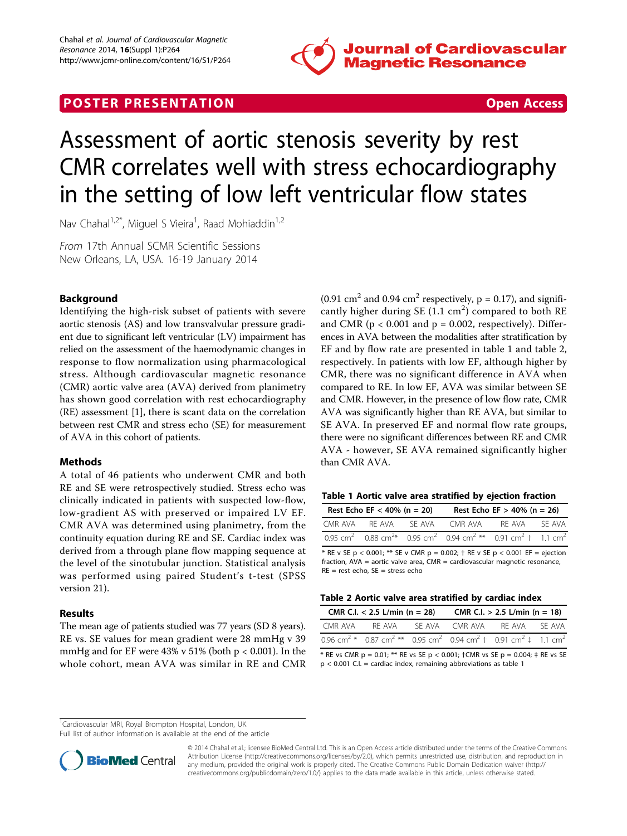

## **POSTER PRESENTATION CONSUMING THE SECOND CONSUMING THE SECOND CONSUMING THE SECOND CONSUMING THE SECOND CONSUMING THE SECOND CONSUMING THE SECOND CONSUMING THE SECOND CONSUMING THE SECOND CONSUMING THE SECOND CONSUMING**



# Assessment of aortic stenosis severity by rest CMR correlates well with stress echocardiography in the setting of low left ventricular flow states

Nav Chahal<sup>1,2\*</sup>, Miguel S Vieira<sup>1</sup>, Raad Mohiaddin<sup>1,2</sup>

From 17th Annual SCMR Scientific Sessions New Orleans, LA, USA. 16-19 January 2014

## Background

Identifying the high-risk subset of patients with severe aortic stenosis (AS) and low transvalvular pressure gradient due to significant left ventricular (LV) impairment has relied on the assessment of the haemodynamic changes in response to flow normalization using pharmacological stress. Although cardiovascular magnetic resonance (CMR) aortic valve area (AVA) derived from planimetry has shown good correlation with rest echocardiography (RE) assessment [\[1\]](#page-1-0), there is scant data on the correlation between rest CMR and stress echo (SE) for measurement of AVA in this cohort of patients.

## Methods

A total of 46 patients who underwent CMR and both RE and SE were retrospectively studied. Stress echo was clinically indicated in patients with suspected low-flow, low-gradient AS with preserved or impaired LV EF. CMR AVA was determined using planimetry, from the continuity equation during RE and SE. Cardiac index was derived from a through plane flow mapping sequence at the level of the sinotubular junction. Statistical analysis was performed using paired Student's t-test (SPSS version 21).

## Results

The mean age of patients studied was 77 years (SD 8 years). RE vs. SE values for mean gradient were 28 mmHg v 39 mmHg and for EF were  $43\%$  v  $51\%$  (both p < 0.001). In the whole cohort, mean AVA was similar in RE and CMR (0.91 cm<sup>2</sup> and 0.94 cm<sup>2</sup> respectively,  $p = 0.17$ ), and significantly higher during SE  $(1.1 \text{ cm}^2)$  compared to both RE and CMR ( $p < 0.001$  and  $p = 0.002$ , respectively). Differences in AVA between the modalities after stratification by EF and by flow rate are presented in table 1 and table 2, respectively. In patients with low EF, although higher by CMR, there was no significant difference in AVA when compared to RE. In low EF, AVA was similar between SE and CMR. However, in the presence of low flow rate, CMR AVA was significantly higher than RE AVA, but similar to SE AVA. In preserved EF and normal flow rate groups, there were no significant differences between RE and CMR AVA - however, SE AVA remained significantly higher than CMR AVA.

|  |  |  |  |  | Table 1 Aortic valve area stratified by ejection fraction |  |  |  |
|--|--|--|--|--|-----------------------------------------------------------|--|--|--|
|--|--|--|--|--|-----------------------------------------------------------|--|--|--|

|                                                                                         | Rest Echo EF < 40% ( $n = 20$ ) |  | Rest Echo EF $>$ 40% (n = 26)                                                                                                               |  |  |  |  |
|-----------------------------------------------------------------------------------------|---------------------------------|--|---------------------------------------------------------------------------------------------------------------------------------------------|--|--|--|--|
|                                                                                         |                                 |  | CMR AVA REAVA SE AVA CMR AVA REAVA SE AVA                                                                                                   |  |  |  |  |
|                                                                                         |                                 |  | 0.95 cm <sup>2</sup> 0.88 cm <sup>2</sup> $\star$ 0.95 cm <sup>2</sup> 0.94 cm <sup>2</sup> $**$ 0.91 cm <sup>2</sup> t 1.1 cm <sup>2</sup> |  |  |  |  |
| * PE y SE n $\geq$ 0.001; ** SE y CMP n = 0.002; + PE y SE n $\geq$ 0.001 FE = ejection |                                 |  |                                                                                                                                             |  |  |  |  |

RE v SE  $p < 0.001$ ; \*\* SE v CMR  $p = 0.002$ ; † RE v SE  $p < 0.001$  EF fraction, AVA = aortic valve area, CMR = cardiovascular magnetic resonance, RE = rest echo, SE = stress echo

| Table 2 Aortic valve area stratified by cardiac index |  |  |  |  |
|-------------------------------------------------------|--|--|--|--|
|-------------------------------------------------------|--|--|--|--|

| CMR C.I. $< 2.5$ L/min (n = 28)                                                                                                            | CMR C.I. $> 2.5$ L/min (n = 18) |             |  |  |
|--------------------------------------------------------------------------------------------------------------------------------------------|---------------------------------|-------------|--|--|
| CMR AVA REAVA                                                                                                                              | SEAVA CMRAVA                    | RFAVA SFAVA |  |  |
| 0.96 cm <sup>2</sup> * 0.87 cm <sup>2</sup> ** 0.95 cm <sup>2</sup> 0.94 cm <sup>2</sup> + 0.91 cm <sup>2</sup> $\neq$ 1.1 cm <sup>2</sup> |                                 |             |  |  |

\* RE vs CMR p = 0.01; \*\* RE vs SE p < 0.001;  $\uparrow$  CMR vs SE p = 0.004;  $\uparrow$  RE vs SE  $p < 0.001$  C.I. = cardiac index, remaining abbreviations as table 1

<sup>1</sup>Cardiovascular MRI, Royal Brompton Hospital, London, UK

Full list of author information is available at the end of the article



© 2014 Chahal et al.; licensee BioMed Central Ltd. This is an Open Access article distributed under the terms of the Creative Commons Attribution License [\(http://creativecommons.org/licenses/by/2.0](http://creativecommons.org/licenses/by/2.0)), which permits unrestricted use, distribution, and reproduction in any medium, provided the original work is properly cited. The Creative Commons Public Domain Dedication waiver [\(http://](http://creativecommons.org/publicdomain/zero/1.0/) [creativecommons.org/publicdomain/zero/1.0/](http://creativecommons.org/publicdomain/zero/1.0/)) applies to the data made available in this article, unless otherwise stated.